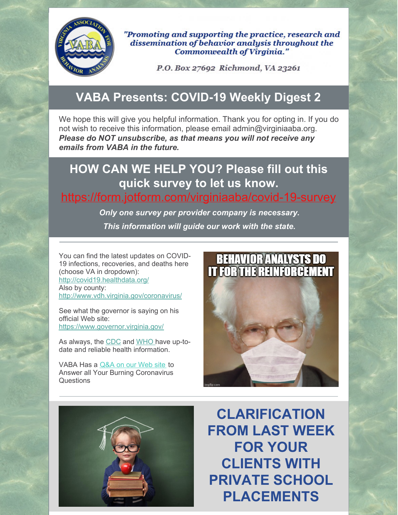

"Promoting and supporting the practice, research and dissemination of behavior analysis throughout the **Commonwealth of Virginia."** 

P.O. Box 27692 Richmond, VA 23261

# **VABA Presents: COVID-19 Weekly Digest 2**

We hope this will give you helpful information. Thank you for opting in. If you do not wish to receive this information, please email admin@virginiaaba.org. *Please do NOT unsubscribe, as that means you will not receive any emails from VABA in the future.*

# **HOW CAN WE HELP YOU? Please fill out this quick survey to let us know.**

#### <https://form.jotform.com/virginiaaba/covid-19-survey>

*Only one survey per provider company is necessary. This information will guide our work with the state.*

You can find the latest updates on COVID-19 infections, recoveries, and deaths here (choose VA in dropdown): <http://covid19.healthdata.org/> Also by county: <http://www.vdh.virginia.gov/coronavirus/>

See what the governor is saying on his official Web site: <https://www.governor.virginia.gov/>

As always, the [CDC](https://www.cdc.gov/coronavirus/2019-nCoV/index.html) and [WHO](https://www.who.int/emergencies/diseases/novel-coronavirus-2019) have up-todate and reliable health information.

VABA Has a [Q&A](https://www.virginiaaba.org/information-on-covid-19/) on our Web site to Answer all Your Burning Coronavirus Questions





**CLARIFICATION FROM LAST WEEK FOR YOUR CLIENTS WITH PRIVATE SCHOOL PLACEMENTS**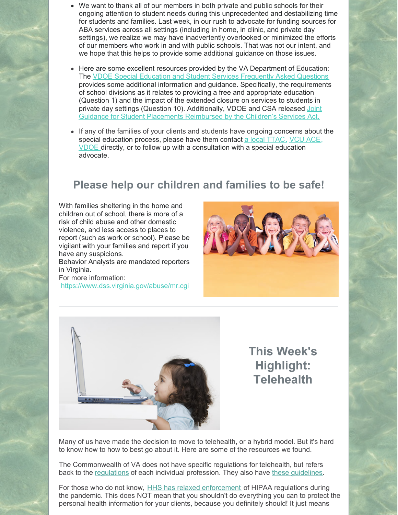- We want to thank all of our members in both private and public schools for their ongoing attention to student needs during this unprecedented and destabilizing time for students and families. Last week, in our rush to advocate for funding sources for ABA services across all settings (including in home, in clinic, and private day settings), we realize we may have inadvertently overlooked or minimized the efforts of our members who work in and with public schools. That was not our intent, and we hope that this helps to provide some additional guidance on those issues.
- Here are some excellent resources provided by the VA Department of Education: The VDOE Special Education and Student Services [Frequently](http://www.doe.virginia.gov/support/health_medical/office/covid-19-sess-faq.shtml) Asked Questions provides some additional information and guidance. Specifically, the requirements of school divisions as it relates to providing a free and appropriate education (Question 1) and the impact of the extended closure on services to students in private day settings (Question 10). [Additionally,](http://www.doe.virginia.gov/support/health_medical/covid-19/joint-guidance-document-vdoe-and-ocs.docx) VDOE and CSA released Joint Guidance for Student Placements Reimbursed by the Children's Services Act.
- If any of the families of your clients and students have ongoing concerns about the special education process, please have them contact a local [TTAC](https://ttaconline.org/), [VCU](http://vcuautismcenter.org/) ACE, [VDOE](http://www.doe.virginia.gov/) directly, or to follow up with a consultation with a special education advocate.

#### **Please help our children and families to be safe!**

With families sheltering in the home and children out of school, there is more of a risk of child abuse and other domestic violence, and less access to places to report (such as work or school). Please be vigilant with your families and report if you have any suspicions.

Behavior Analysts are mandated reporters in Virginia.

For more information: <https://www.dss.virginia.gov/abuse/mr.cgi>





## **This Week's Highlight: Telehealth**

Many of us have made the decision to move to telehealth, or a hybrid model. But it's hard to know how to how to best go about it. Here are some of the resources we found.

The Commonwealth of VA does not have specific regulations for telehealth, but refers back to the [regulations](https://files.constantcontact.com/5b2460a5501/b80a3b19-8939-4507-8a0e-03413887f6a3.pdf) of each individual profession. They also have these [guidelines](http://www.dhp.virginia.gov/medicine/guidelines/85-12.pdf).

For those who do not know, HHS has relaxed [enforcement](https://www.hhs.gov/hipaa/for-professionals/special-topics/emergency-preparedness/notification-enforcement-discretion-telehealth/index.html) of HIPAA regulations during the pandemic. This does NOT mean that you shouldn't do everything you can to protect the personal health information for your clients, because you definitely should! It just means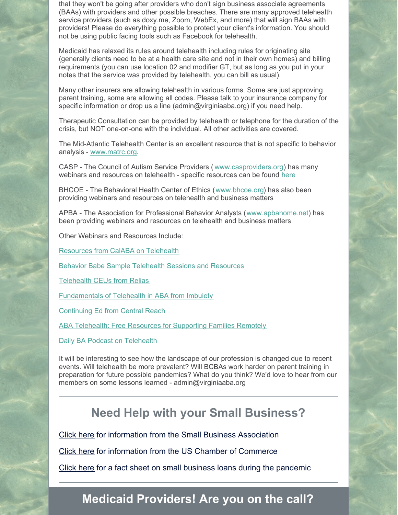that they won't be going after providers who don't sign business associate agreements (BAAs) with providers and other possible breaches. There are many approved telehealth service providers (such as doxy.me, Zoom, WebEx, and more) that will sign BAAs with providers! Please do everything possible to protect your client's information. You should not be using public facing tools such as Facebook for telehealth.

Medicaid has relaxed its rules around telehealth including rules for originating site (generally clients need to be at a health care site and not in their own homes) and billing requirements (you can use location 02 and modifier GT, but as long as you put in your notes that the service was provided by telehealth, you can bill as usual).

Many other insurers are allowing telehealth in various forms. Some are just approving parent training, some are allowing all codes. Please talk to your insurance company for specific information or drop us a line (admin@virginiaaba.org) if you need help.

Therapeutic Consultation can be provided by telehealth or telephone for the duration of the crisis, but NOT one-on-one with the individual. All other activities are covered.

The Mid-Atlantic Telehealth Center is an excellent resource that is not specific to behavior analysis - [www.matrc.org](https://www.matrc.org/).

CASP - The Council of Autism Service Providers ( [www.casproviders.org](https://casproviders.org/)) has many webinars and resources on telehealth - specific resources can be found [here](https://casproviders.org/coronavirus-resources/telehealth/)

BHCOE - The Behavioral Health Center of Ethics ([www.bhcoe.org](https://bhcoe.org/)) has also been providing webinars and resources on telehealth and business matters

APBA - The Association for Professional Behavior Analysts ([www.apbahome.net](https://www.apbahome.net/)) has been providing webinars and resources on telehealth and business matters

Other Webinars and Resources Include:

[Resources](https://centralreach.com/business-continuity/) from CalABA on Telehealth

Behavior Babe Sample [Telehealth](https://www.behaviorbabe.com/telehealth) Sessions and Resources

[Telehealth](https://www.virginiaaba.org/wp-content/uploads/2020/03/A-few-CEUs-on-Telemedicine.pdf) CEUs from Relias

[Fundamentals](https://imbueity.com/supervision/continuing-education-ceus/?fbclid=IwAR0rK7yUkxtvn9Tsd_fDkYSX3PWz7T9o4tucq6NnMiI4aMM5TEvRLOrgrvc) of Telehealth in ABA from Imbuiety

[Continuing](https://centralreach.com/business-continuity/) Ed from Central Reach

ABA [Telehealth:](https://go.rethinkfirst.com/aba-telehealth) Free Resources for Supporting Families Remotely

Daily BA Podcast on [Telehealth](https://www.thedailyba.com/episodes/2020/0317/telehealth-aba-services-w/-tina-patterson-med-bcba-lba?fbclid=IwAR3qy4o71jiP9VUu0GhsyaEdV1xaycUH6GjEKs4ox1XrI2g9vR2JaU0ZJss)

It will be interesting to see how the landscape of our profession is changed due to recent events. Will telehealth be more prevalent? Will BCBAs work harder on parent training in preparation for future possible pandemics? What do you think? We'd love to hear from our members on some lessons learned - admin@virginiaaba.org

#### **Need Help with your Small Business?**

[Click](https://www.virginiaaba.org/wp-content/uploads/2020/04/PPP-IFRN-FINAL-Highlighted-Version.pdf) here for information from the Small Business Association

[Click](https://www.virginiaaba.org/wp-content/uploads/2020/04/US-Chamber-Loan-Info.pdf) here for information from the US Chamber of Commerce

[Click](https://home.treasury.gov/system/files/136/PPP--Fact-Sheet.pdf) here for a fact sheet on small business loans during the pandemic

#### **Medicaid Providers! Are you on the call?**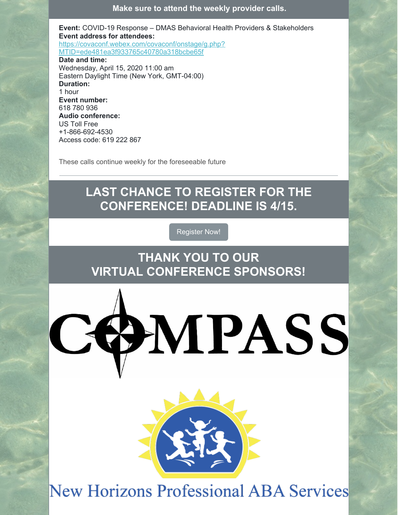**Make sure to attend the weekly provider calls.**

**Event:** COVID-19 Response – DMAS Behavioral Health Providers & Stakeholders **Event address for attendees:** [https://covaconf.webex.com/covaconf/onstage/g.php?](https://covaconf.webex.com/covaconf/onstage/g.php?MTID=ede481ea3f933765c40780a318bcbe65f) MTID=ede481ea3f933765c40780a318bcbe65f **Date and time:** Wednesday, April 15, 2020 11:00 am Eastern Daylight Time (New York, GMT-04:00) **Duration:** 1 hour **Event number:** 618 780 936 **Audio conference:** US Toll Free +1-866-692-4530 Access code: 619 222 867

These calls continue weekly for the foreseeable future

### **LAST CHANCE TO REGISTER FOR THE CONFERENCE! DEADLINE IS 4/15.**

[Register](https://www.virginiaaba.org/annual-conference/) Now!

**THANK YOU TO OUR VIRTUAL CONFERENCE SPONSORS!**





**New Horizons Professional ABA Services**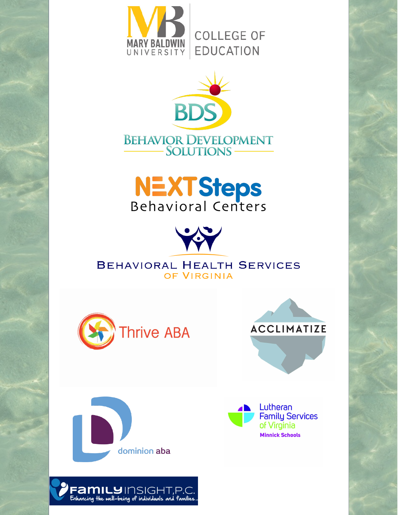







**BEHAVIORAL HEALTH SERVICES** OF VIRGINIA









**FAMILY** INSIGHT,P.C.<br>Enhancing the well-being of individuals and families.